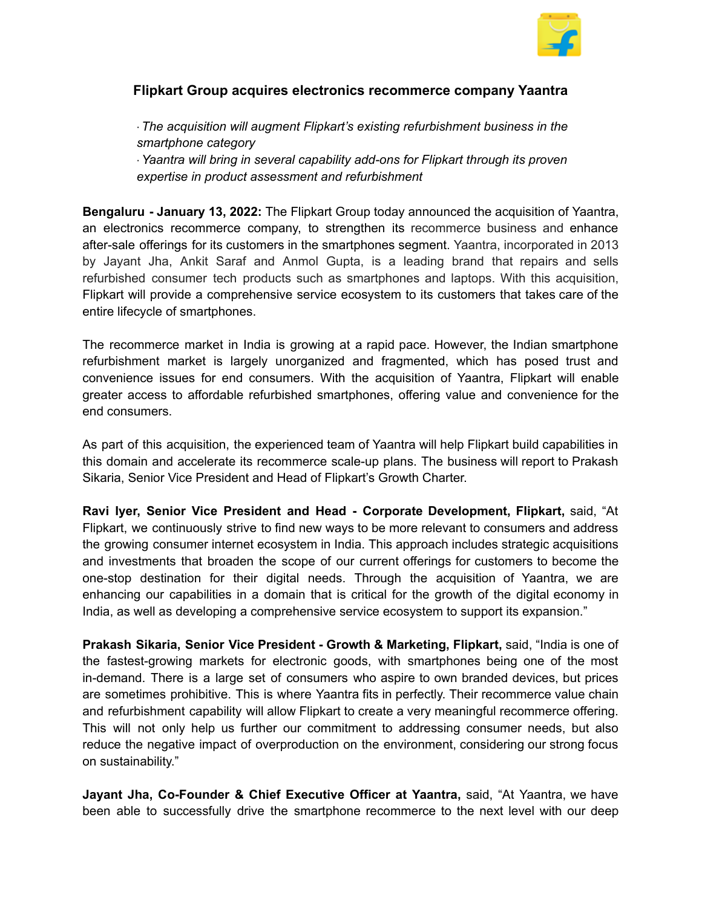

## **Flipkart Group acquires electronics recommerce company Yaantra**

· *The acquisition will augment Flipkart's existing refurbishment business in the smartphone category* ·*Yaantra will bring in several capability add-ons for Flipkart through its proven expertise in product assessment and refurbishment*

**Bengaluru - January 13, 2022:** The Flipkart Group today announced the acquisition of Yaantra, an electronics recommerce company, to strengthen its recommerce business and enhance after-sale offerings for its customers in the smartphones segment. Yaantra, incorporated in 2013 by Jayant Jha, Ankit Saraf and Anmol Gupta, is a leading brand that repairs and sells refurbished consumer tech products such as smartphones and laptops. With this acquisition, Flipkart will provide a comprehensive service ecosystem to its customers that takes care of the entire lifecycle of smartphones.

The recommerce market in India is growing at a rapid pace. However, the Indian smartphone refurbishment market is largely unorganized and fragmented, which has posed trust and convenience issues for end consumers. With the acquisition of Yaantra, Flipkart will enable greater access to affordable refurbished smartphones, offering value and convenience for the end consumers.

As part of this acquisition, the experienced team of Yaantra will help Flipkart build capabilities in this domain and accelerate its recommerce scale-up plans. The business will report to Prakash Sikaria, Senior Vice President and Head of Flipkart's Growth Charter.

**Ravi Iyer, Senior Vice President and Head - Corporate Development, Flipkart,** said, "At Flipkart, we continuously strive to find new ways to be more relevant to consumers and address the growing consumer internet ecosystem in India. This approach includes strategic acquisitions and investments that broaden the scope of our current offerings for customers to become the one-stop destination for their digital needs. Through the acquisition of Yaantra, we are enhancing our capabilities in a domain that is critical for the growth of the digital economy in India, as well as developing a comprehensive service ecosystem to support its expansion."

**Prakash Sikaria, Senior Vice President - Growth & Marketing, Flipkart,** said, "India is one of the fastest-growing markets for electronic goods, with smartphones being one of the most in-demand. There is a large set of consumers who aspire to own branded devices, but prices are sometimes prohibitive. This is where Yaantra fits in perfectly. Their recommerce value chain and refurbishment capability will allow Flipkart to create a very meaningful recommerce offering. This will not only help us further our commitment to addressing consumer needs, but also reduce the negative impact of overproduction on the environment, considering our strong focus on sustainability."

**Jayant Jha, Co-Founder & Chief Executive Officer at Yaantra,** said, "At Yaantra, we have been able to successfully drive the smartphone recommerce to the next level with our deep